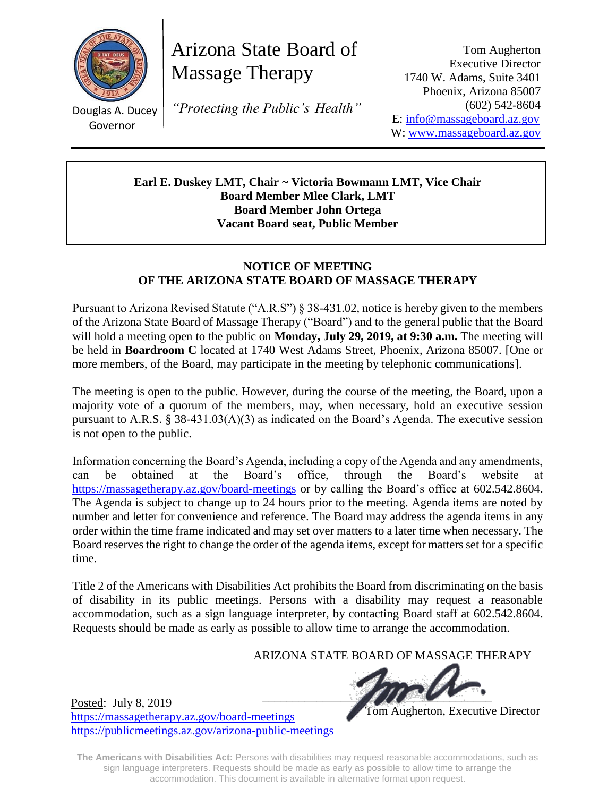

Douglas A. Ducey Governor

Posted: July 8, 2019

<https://massagetherapy.az.gov/board-meetings>

<https://publicmeetings.az.gov/arizona-public-meetings>

Arizona State Board of Massage Therapy

*"Protecting the Public's Health"*

Tom Augherton Executive Director 1740 W. Adams, Suite 3401 Phoenix, Arizona 85007 (602) 542-8604 E: [info@massageboard.az.gov](mailto:info@massageboard.az.gov) W: [www.massageboard.az.gov](http://www.massageboard.az.gov/)

**Earl E. Duskey LMT, Chair ~ Victoria Bowmann LMT, Vice Chair Board Member Mlee Clark, LMT Board Member John Ortega Vacant Board seat, Public Member**

## **NOTICE OF MEETING OF THE ARIZONA STATE BOARD OF MASSAGE THERAPY**

Pursuant to Arizona Revised Statute ("A.R.S") § 38-431.02, notice is hereby given to the members of the Arizona State Board of Massage Therapy ("Board") and to the general public that the Board will hold a meeting open to the public on **Monday, July 29, 2019, at 9:30 a.m.** The meeting will be held in **Boardroom C** located at 1740 West Adams Street, Phoenix, Arizona 85007. [One or more members, of the Board, may participate in the meeting by telephonic communications].

The meeting is open to the public. However, during the course of the meeting, the Board, upon a majority vote of a quorum of the members, may, when necessary, hold an executive session pursuant to A.R.S. § 38-431.03(A)(3) as indicated on the Board's Agenda. The executive session is not open to the public.

Information concerning the Board's Agenda, including a copy of the Agenda and any amendments, can be obtained at the Board's office, through the Board's website at <https://massagetherapy.az.gov/>board-meetings or by calling the Board's office at 602.542.8604. The Agenda is subject to change up to 24 hours prior to the meeting. Agenda items are noted by number and letter for convenience and reference. The Board may address the agenda items in any order within the time frame indicated and may set over matters to a later time when necessary. The Board reserves the right to change the order of the agenda items, except for matters set for a specific time.

Title 2 of the Americans with Disabilities Act prohibits the Board from discriminating on the basis of disability in its public meetings. Persons with a disability may request a reasonable accommodation, such as a sign language interpreter, by contacting Board staff at 602.542.8604. Requests should be made as early as possible to allow time to arrange the accommodation.

ARIZONA STATE BOARD OF MASSAGE THERAPY

 $\blacksquare$ 

Tom Augherton, Executive Director

**The Americans with Disabilities Act:** Persons with disabilities may request reasonable accommodations, such as sign language interpreters. Requests should be made as early as possible to allow time to arrange the accommodation. This document is available in alternative format upon request.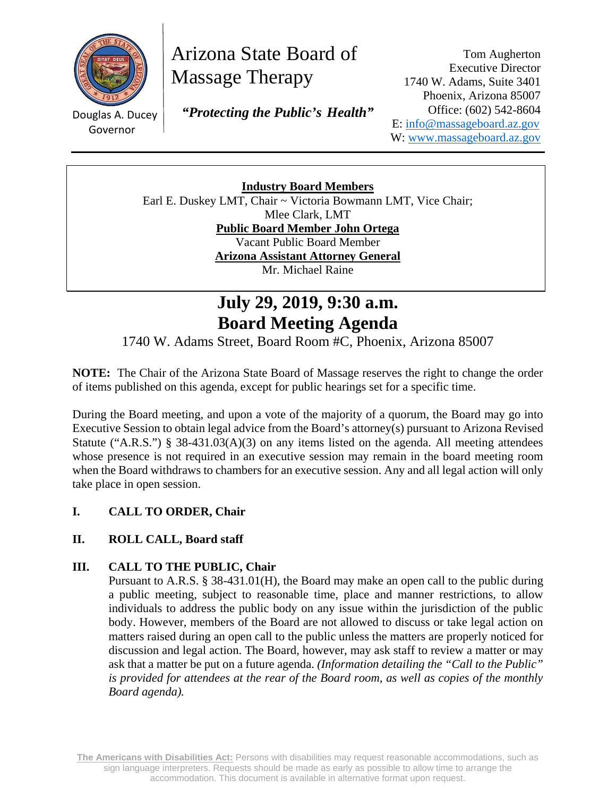

# Arizona State Board of Massage Therapy

 $\mathbb{R}^n$ Governor

Douglas A. Ducey  *"Protecting the Public's Health"*

Tom Augherton Executive Director 1740 W. Adams, Suite 3401 Phoenix, Arizona 85007 Office: (602) 542-8604 E: info@massageboard.az.gov W: www.massageboard.az.gov

**Industry Board Members**  Earl E. Duskey LMT, Chair ~ Victoria Bowmann LMT, Vice Chair; Mlee Clark, LMT **Public Board Member John Ortega**  Vacant Public Board Member **Arizona Assistant Attorney General**  Mr. Michael Raine

## **July 29, 2019, 9:30 a.m. Board Meeting Agenda**

1740 W. Adams Street, Board Room #C, Phoenix, Arizona 85007

**NOTE:** The Chair of the Arizona State Board of Massage reserves the right to change the order of items published on this agenda, except for public hearings set for a specific time.

During the Board meeting, and upon a vote of the majority of a quorum, the Board may go into Executive Session to obtain legal advice from the Board's attorney(s) pursuant to Arizona Revised Statute ("A.R.S.") § 38-431.03(A)(3) on any items listed on the agenda. All meeting attendees whose presence is not required in an executive session may remain in the board meeting room when the Board withdraws to chambers for an executive session. Any and all legal action will only take place in open session.

## **I. CALL TO ORDER, Chair**

## **II. ROLL CALL, Board staff**

## **III. CALL TO THE PUBLIC, Chair**

Pursuant to A.R.S. § 38-431.01(H), the Board may make an open call to the public during a public meeting, subject to reasonable time, place and manner restrictions, to allow individuals to address the public body on any issue within the jurisdiction of the public body. However, members of the Board are not allowed to discuss or take legal action on matters raised during an open call to the public unless the matters are properly noticed for discussion and legal action. The Board, however, may ask staff to review a matter or may ask that a matter be put on a future agenda. *(Information detailing the "Call to the Public" is provided for attendees at the rear of the Board room, as well as copies of the monthly Board agenda).* 

**The Americans with Disabilities Act:** Persons with disabilities may request reasonable accommodations, such as sign language interpreters. Requests should be made as early as possible to allow time to arrange the accommodation. This document is available in alternative format upon request.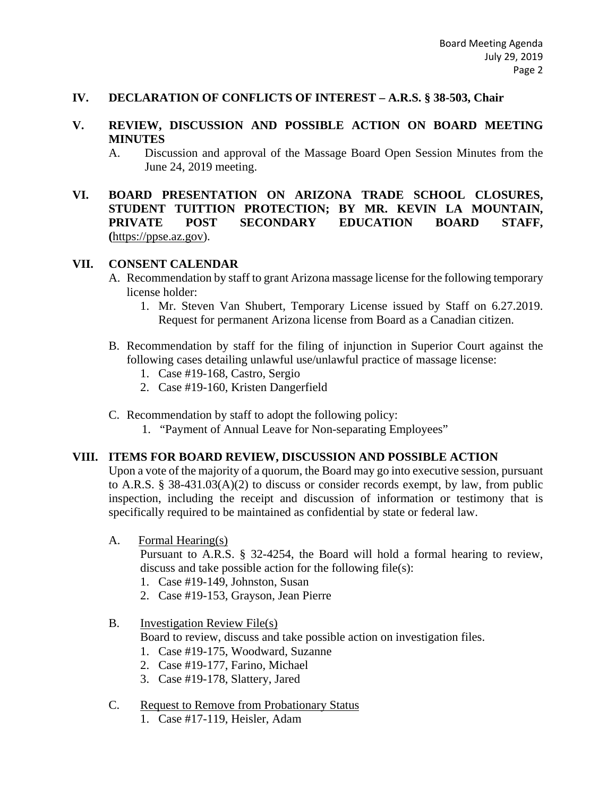#### **IV. DECLARATION OF CONFLICTS OF INTEREST – A.R.S. § 38-503, Chair**

#### **V. REVIEW, DISCUSSION AND POSSIBLE ACTION ON BOARD MEETING MINUTES**

- A. Discussion and approval of the Massage Board Open Session Minutes from the June 24, 2019 meeting.
- **VI. BOARD PRESENTATION ON ARIZONA TRADE SCHOOL CLOSURES, STUDENT TUITTION PROTECTION; BY MR. KEVIN LA MOUNTAIN, PRIVATE POST SECONDARY EDUCATION BOARD STAFF, (**https://ppse.az.gov).

#### **VII. CONSENT CALENDAR**

- A. Recommendation by staff to grant Arizona massage license for the following temporary license holder:
	- 1. Mr. Steven Van Shubert, Temporary License issued by Staff on 6.27.2019. Request for permanent Arizona license from Board as a Canadian citizen.
- B. Recommendation by staff for the filing of injunction in Superior Court against the following cases detailing unlawful use/unlawful practice of massage license:
	- 1. Case #19-168, Castro, Sergio
	- 2. Case #19-160, Kristen Dangerfield
- C. Recommendation by staff to adopt the following policy:
	- 1. "Payment of Annual Leave for Non-separating Employees"

#### **VIII. ITEMS FOR BOARD REVIEW, DISCUSSION AND POSSIBLE ACTION**

Upon a vote of the majority of a quorum, the Board may go into executive session, pursuant to A.R.S. § 38-431.03(A)(2) to discuss or consider records exempt, by law, from public inspection, including the receipt and discussion of information or testimony that is specifically required to be maintained as confidential by state or federal law.

A. Formal Hearing(s)

Pursuant to A.R.S. § 32-4254, the Board will hold a formal hearing to review, discuss and take possible action for the following file(s):

- 1. Case #19-149, Johnston, Susan
- 2. Case #19-153, Grayson, Jean Pierre

#### B. Investigation Review File(s)

Board to review, discuss and take possible action on investigation files.

- 1. Case #19-175, Woodward, Suzanne
- 2. Case #19-177, Farino, Michael
- 3. Case #19-178, Slattery, Jared

#### C. Request to Remove from Probationary Status

1. Case #17-119, Heisler, Adam